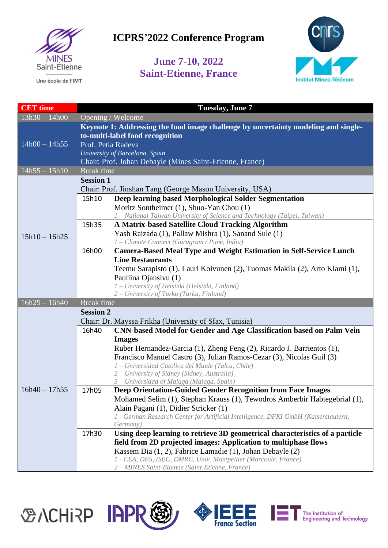

Une école de l'IMT

**ICPRS'2022 Conference Program**

## **June 7-10, 2022 Saint-Etienne, France**



| <b>CET</b> time | <b>Tuesday, June 7</b>                                   |                                                                                                                             |  |  |
|-----------------|----------------------------------------------------------|-----------------------------------------------------------------------------------------------------------------------------|--|--|
| $13h30 - 14h00$ |                                                          | Opening / Welcome                                                                                                           |  |  |
|                 |                                                          | Keynote 1: Addressing the food image challenge by uncertainty modeling and single-                                          |  |  |
|                 | to-multi-label food recognition                          |                                                                                                                             |  |  |
| $14h00 - 14h55$ | Prof. Petia Radeva                                       |                                                                                                                             |  |  |
|                 | University of Barcelona, Spain                           |                                                                                                                             |  |  |
|                 | Chair: Prof. Johan Debayle (Mines Saint-Etienne, France) |                                                                                                                             |  |  |
| $14h55 - 15h10$ |                                                          | <b>Break</b> time                                                                                                           |  |  |
|                 | <b>Session 1</b>                                         |                                                                                                                             |  |  |
|                 | Chair: Prof. Jinshan Tang (George Mason University, USA) |                                                                                                                             |  |  |
|                 | 15h10                                                    | Deep learning based Morphological Solder Segmentation                                                                       |  |  |
|                 |                                                          | Moritz Sontheimer (1), Shuo-Yan Chou (1)                                                                                    |  |  |
|                 |                                                          | 1 - National Taiwan University of Science and Technology (Taipei, Taiwan)                                                   |  |  |
|                 | 15h35                                                    | A Matrix-based Satellite Cloud Tracking Algorithm                                                                           |  |  |
| $15h10 - 16h25$ |                                                          | Yash Raizada (1), Pallaw Mishra (1), Sanand Sule (1)                                                                        |  |  |
|                 |                                                          | 1 – Climate Connect (Gurugram / Pune, India)                                                                                |  |  |
|                 | 16h00                                                    | <b>Camera-Based Meal Type and Weight Estimation in Self-Service Lunch</b><br><b>Line Restaurants</b>                        |  |  |
|                 |                                                          |                                                                                                                             |  |  |
|                 |                                                          | Teemu Sarapisto (1), Lauri Koivunen (2), Tuomas Makila (2), Arto Klami (1),                                                 |  |  |
|                 |                                                          | Pauliina Ojansivu (1)<br>1 - University of Helsinki (Helsinki, Finland)                                                     |  |  |
|                 |                                                          | 2 – University of Turku (Turku, Finland)                                                                                    |  |  |
| $16h25 - 16h40$ | <b>Break</b> time                                        |                                                                                                                             |  |  |
|                 | <b>Session 2</b>                                         |                                                                                                                             |  |  |
|                 |                                                          | Chair: Dr. Mayssa Frikha (University of Sfax, Tunisia)                                                                      |  |  |
|                 | 16h40                                                    | CNN-based Model for Gender and Age Classification based on Palm Vein                                                        |  |  |
|                 |                                                          | <b>Images</b>                                                                                                               |  |  |
|                 |                                                          | Ruber Hernandez-Garcia (1), Zheng Feng (2), Ricardo J. Barrientos (1),                                                      |  |  |
|                 |                                                          | Francisco Manuel Castro (3), Julian Ramos-Cezar (3), Nicolas Guil (3)                                                       |  |  |
|                 |                                                          | 1 - Universidad Catolica del Maule (Talca, Chile)                                                                           |  |  |
|                 |                                                          | 2 – University of Sidney (Sidney, Australia)                                                                                |  |  |
|                 |                                                          | 3 - Universidad of Malaga (Malaga, Spain)                                                                                   |  |  |
| $16h40 - 17h55$ | 17h05                                                    | Deep Orientation-Guided Gender Recognition from Face Images                                                                 |  |  |
|                 |                                                          | Mohamed Selim (1), Stephan Krauss (1), Tewodros Amberbir Habtegebrial (1),                                                  |  |  |
|                 |                                                          | Alain Pagani (1), Didier Stricker (1)<br>1 - German Research Center for Artificial Intelligence, DFKI GmbH (Kaiserslautern, |  |  |
|                 |                                                          | Germany)                                                                                                                    |  |  |
|                 | 17h30                                                    | Using deep learning to retrieve 3D geometrical characteristics of a particle                                                |  |  |
|                 |                                                          | field from 2D projected images: Application to multiphase flows                                                             |  |  |
|                 |                                                          | Kassem Dia (1, 2), Fabrice Lamadie (1), Johan Debayle (2)                                                                   |  |  |
|                 |                                                          | 1 - CEA, DES, ISEC, DMRC, Univ. Montpellier (Marcoule, France)                                                              |  |  |
|                 |                                                          | 2 – MINES Saint-Etienne (Saint-Etienne, France)                                                                             |  |  |







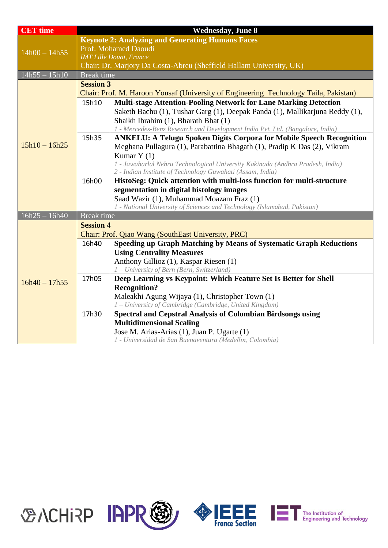| <b>CET</b> time | <b>Wednesday</b> , June 8                                                            |                                                                                                            |  |
|-----------------|--------------------------------------------------------------------------------------|------------------------------------------------------------------------------------------------------------|--|
|                 | <b>Keynote 2: Analyzing and Generating Humans Faces</b>                              |                                                                                                            |  |
| $14h00 - 14h55$ | Prof. Mohamed Daoudi                                                                 |                                                                                                            |  |
|                 | <b>IMT</b> Lille Douai, France                                                       |                                                                                                            |  |
|                 | Chair: Dr. Marjory Da Costa-Abreu (Sheffield Hallam University, UK)                  |                                                                                                            |  |
| $14h55 - 15h10$ | Break time                                                                           |                                                                                                            |  |
|                 |                                                                                      | <b>Session 3</b>                                                                                           |  |
|                 | Chair: Prof. M. Haroon Yousaf (University of Engineering Technology Taila, Pakistan) |                                                                                                            |  |
|                 | 15h10                                                                                | <b>Multi-stage Attention-Pooling Network for Lane Marking Detection</b>                                    |  |
|                 |                                                                                      | Saketh Bachu (1), Tushar Garg (1), Deepak Panda (1), Mallikarjuna Reddy (1),                               |  |
|                 |                                                                                      | Shaikh Ibrahim (1), Bharath Bhat (1)                                                                       |  |
|                 |                                                                                      | 1 - Mercedes-Benz Research and Development India Pvt. Ltd. (Bangalore, India)                              |  |
|                 | 15h35                                                                                | <b>ANKELU: A Telugu Spoken Digits Corpora for Mobile Speech Recognition</b>                                |  |
| $15h10 - 16h25$ |                                                                                      | Meghana Pullagura (1), Parabattina Bhagath (1), Pradip K Das (2), Vikram                                   |  |
|                 |                                                                                      | Kumar $Y(1)$                                                                                               |  |
|                 |                                                                                      | 1 - Jawaharlal Nehru Technological University Kakinada (Andhra Pradesh, India)                             |  |
|                 |                                                                                      | 2 - Indian Institute of Technology Guwahati (Assam, India)                                                 |  |
|                 | 16h00                                                                                | HistoSeg: Quick attention with multi-loss function for multi-structure                                     |  |
|                 |                                                                                      | segmentation in digital histology images                                                                   |  |
|                 |                                                                                      | Saad Wazir (1), Muhammad Moazam Fraz (1)                                                                   |  |
| $16h25 - 16h40$ |                                                                                      | 1 - National University of Sciences and Technology (Islamabad, Pakistan)                                   |  |
|                 | <b>Break</b> time                                                                    |                                                                                                            |  |
|                 | <b>Session 4</b>                                                                     |                                                                                                            |  |
|                 |                                                                                      | Chair: Prof. Qiao Wang (SouthEast University, PRC)                                                         |  |
|                 | 16h40                                                                                | Speeding up Graph Matching by Means of Systematic Graph Reductions                                         |  |
|                 |                                                                                      | <b>Using Centrality Measures</b>                                                                           |  |
|                 |                                                                                      | Anthony Gillioz (1), Kaspar Riesen (1)                                                                     |  |
|                 |                                                                                      | 1 – University of Bern (Bern, Switzerland)                                                                 |  |
| $16h40 - 17h55$ | 17h05                                                                                | Deep Learning vs Keypoint: Which Feature Set Is Better for Shell                                           |  |
|                 |                                                                                      | <b>Recognition?</b>                                                                                        |  |
|                 |                                                                                      | Maleakhi Agung Wijaya (1), Christopher Town (1)<br>1 - University of Cambridge (Cambridge, United Kingdom) |  |
|                 | 17h30                                                                                | <b>Spectral and Cepstral Analysis of Colombian Birdsongs using</b>                                         |  |
|                 |                                                                                      | <b>Multidimensional Scaling</b>                                                                            |  |
|                 |                                                                                      | Jose M. Arias-Arias (1), Juan P. Ugarte (1)                                                                |  |
|                 |                                                                                      | 1 - Universidad de San Buenaventura (Medellin, Colombia)                                                   |  |



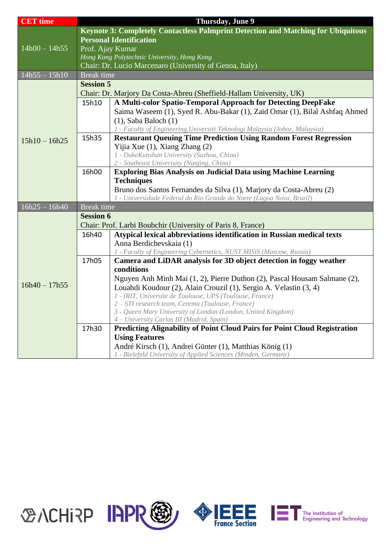| <b>CET</b> time | Thursday, June 9                                            |                                                                                          |  |
|-----------------|-------------------------------------------------------------|------------------------------------------------------------------------------------------|--|
|                 |                                                             | <b>Keynote 3: Completely Contactless Palmprint Detection and Matching for Ubiquitous</b> |  |
|                 | <b>Personal Identification</b>                              |                                                                                          |  |
| $14h00 - 14h55$ | Prof. Ajay Kumar                                            |                                                                                          |  |
|                 | Hong Kong Polytechnic University, Hong Kong                 |                                                                                          |  |
|                 | Chair: Dr. Lucio Marcenaro (University of Genoa, Italy)     |                                                                                          |  |
| $14h55 - 15h10$ | <b>Break</b> time                                           |                                                                                          |  |
|                 | <b>Session 5</b>                                            |                                                                                          |  |
|                 |                                                             | Chair: Dr. Marjory Da Costa-Abreu (Sheffield-Hallam University, UK)                      |  |
|                 | 15h10                                                       | A Multi-color Spatio-Temporal Approach for Detecting DeepFake                            |  |
|                 |                                                             | Saima Waseem (1), Syed R. Abu-Bakar (1), Zaid Omar (1), Bilal Ashfaq Ahmed               |  |
|                 |                                                             | $(1)$ , Saba Baloch $(1)$                                                                |  |
|                 |                                                             | 1 - Faculty of Engineering, Universiti Teknologi Malaysia (Johor, Malaysia)              |  |
| $15h10 - 16h25$ | 15h35                                                       | <b>Restaurant Queuing Time Prediction Using Random Forest Regression</b>                 |  |
|                 |                                                             | Yijia Xue (1), Xiang Zhang (2)<br>1 - DukeKunshan University (Suzhou, China)             |  |
|                 |                                                             | 2 - Southeast Univerisity (Nanjing, China)                                               |  |
|                 | 16h00                                                       | <b>Exploring Bias Analysis on Judicial Data using Machine Learning</b>                   |  |
|                 |                                                             | <b>Techniques</b>                                                                        |  |
|                 |                                                             | Bruno dos Santos Fernandes da Silva (1), Marjory da Costa-Abreu (2)                      |  |
|                 |                                                             | 1 - Universidade Federal do Rio Grande do Norte (Lagoa Nova, Brazil)                     |  |
| $16h25 - 16h40$ | <b>Break</b> time                                           |                                                                                          |  |
|                 | <b>Session 6</b>                                            |                                                                                          |  |
|                 | Chair: Prof. Larbi Boubchir (University of Paris 8, France) |                                                                                          |  |
|                 | 16h40                                                       | Atypical lexical abbreviations identification in Russian medical texts                   |  |
|                 |                                                             | Anna Berdichevskaia (1)                                                                  |  |
|                 |                                                             | 1 - Faculty of Engineering Cybernetics, NUST MISiS (Moscow, Russia)                      |  |
|                 | 17h05                                                       | Camera and LiDAR analysis for 3D object detection in foggy weather<br>conditions         |  |
|                 |                                                             | Nguyen Anh Minh Mai (1, 2), Pierre Duthon (2), Pascal Housam Salmane (2),                |  |
| $16h40 - 17h55$ |                                                             | Louahdi Koudour (2), Alain Crouzil (1), Sergio A. Velastin (3, 4)                        |  |
|                 |                                                             | 1 - IRIT, Universite de Toulouse, UPS (Toulouse, France)                                 |  |
|                 |                                                             | 2 - STI research team, Cerema (Toulouse, France)                                         |  |
|                 |                                                             | 3 - Queen Mary University of London (London, United Kingdom)                             |  |
|                 |                                                             | 4 - University Carlos III (Madrid, Spain)                                                |  |
|                 | 17h30                                                       | Predicting Alignability of Point Cloud Pairs for Point Cloud Registration                |  |
|                 |                                                             | <b>Using Features</b>                                                                    |  |
|                 |                                                             | André Kirsch (1), Andrei Günter (1), Matthias König (1)                                  |  |
|                 |                                                             | 1 - Bielefeld University of Applied Sciences (Minden, Germany)                           |  |